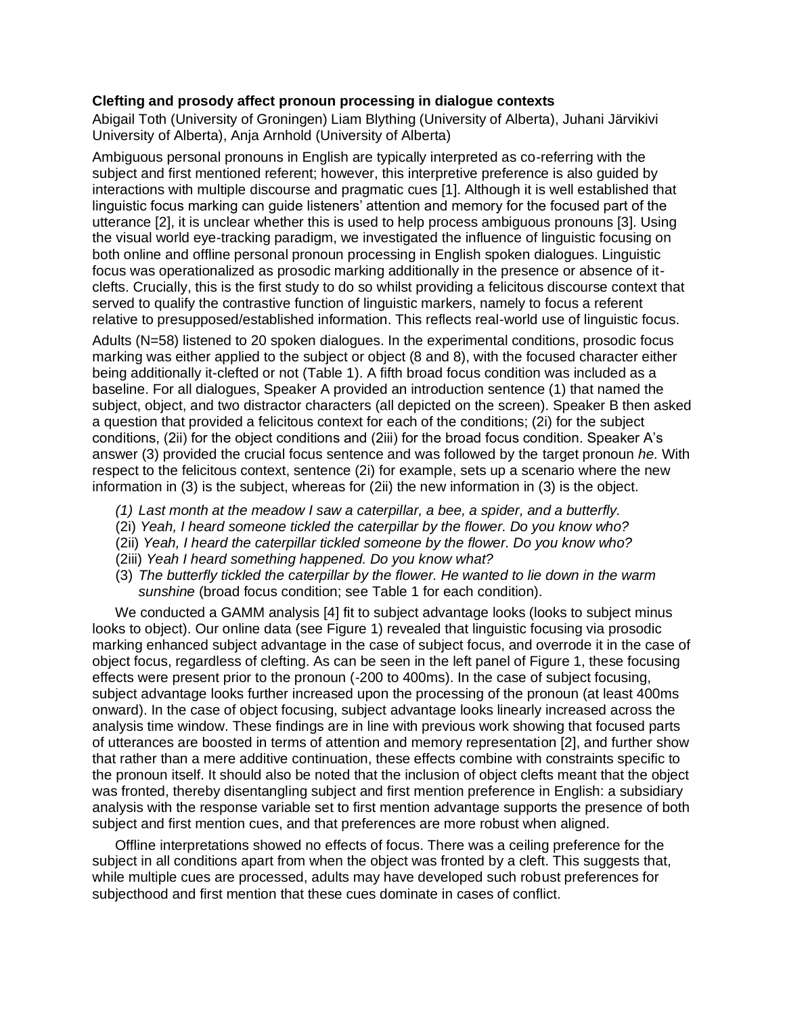## **Clefting and prosody affect pronoun processing in dialogue contexts**

Abigail Toth (University of Groningen) Liam Blything (University of Alberta), Juhani Järvikivi University of Alberta), Anja Arnhold (University of Alberta)

Ambiguous personal pronouns in English are typically interpreted as co-referring with the subject and first mentioned referent; however, this interpretive preference is also guided by interactions with multiple discourse and pragmatic cues [1]. Although it is well established that linguistic focus marking can guide listeners' attention and memory for the focused part of the utterance [2], it is unclear whether this is used to help process ambiguous pronouns [3]. Using the visual world eye-tracking paradigm, we investigated the influence of linguistic focusing on both online and offline personal pronoun processing in English spoken dialogues. Linguistic focus was operationalized as prosodic marking additionally in the presence or absence of itclefts. Crucially, this is the first study to do so whilst providing a felicitous discourse context that served to qualify the contrastive function of linguistic markers, namely to focus a referent relative to presupposed/established information. This reflects real-world use of linguistic focus.

Adults (N=58) listened to 20 spoken dialogues. In the experimental conditions, prosodic focus marking was either applied to the subject or object (8 and 8), with the focused character either being additionally it-clefted or not (Table 1). A fifth broad focus condition was included as a baseline. For all dialogues, Speaker A provided an introduction sentence (1) that named the subject, object, and two distractor characters (all depicted on the screen). Speaker B then asked a question that provided a felicitous context for each of the conditions; (2i) for the subject conditions, (2ii) for the object conditions and (2iii) for the broad focus condition. Speaker A's answer (3) provided the crucial focus sentence and was followed by the target pronoun *he.* With respect to the felicitous context, sentence (2i) for example, sets up a scenario where the new information in (3) is the subject, whereas for (2ii) the new information in (3) is the object.

- *(1) Last month at the meadow I saw a caterpillar, a bee, a spider, and a butterfly.*
- (2i) *Yeah, I heard someone tickled the caterpillar by the flower. Do you know who?*
- (2ii) *Yeah, I heard the caterpillar tickled someone by the flower. Do you know who?*
- (2iii) *Yeah I heard something happened. Do you know what?*
- (3) *The butterfly tickled the caterpillar by the flower. He wanted to lie down in the warm sunshine* (broad focus condition; see Table 1 for each condition).

We conducted a GAMM analysis [4] fit to subject advantage looks (looks to subject minus looks to object). Our online data (see Figure 1) revealed that linguistic focusing via prosodic marking enhanced subject advantage in the case of subject focus, and overrode it in the case of object focus, regardless of clefting. As can be seen in the left panel of Figure 1, these focusing effects were present prior to the pronoun (-200 to 400ms). In the case of subject focusing, subject advantage looks further increased upon the processing of the pronoun (at least 400ms onward). In the case of object focusing, subject advantage looks linearly increased across the analysis time window. These findings are in line with previous work showing that focused parts of utterances are boosted in terms of attention and memory representation [2], and further show that rather than a mere additive continuation, these effects combine with constraints specific to the pronoun itself. It should also be noted that the inclusion of object clefts meant that the object was fronted, thereby disentangling subject and first mention preference in English: a subsidiary analysis with the response variable set to first mention advantage supports the presence of both subject and first mention cues, and that preferences are more robust when aligned.

Offline interpretations showed no effects of focus. There was a ceiling preference for the subject in all conditions apart from when the object was fronted by a cleft. This suggests that, while multiple cues are processed, adults may have developed such robust preferences for subjecthood and first mention that these cues dominate in cases of conflict.